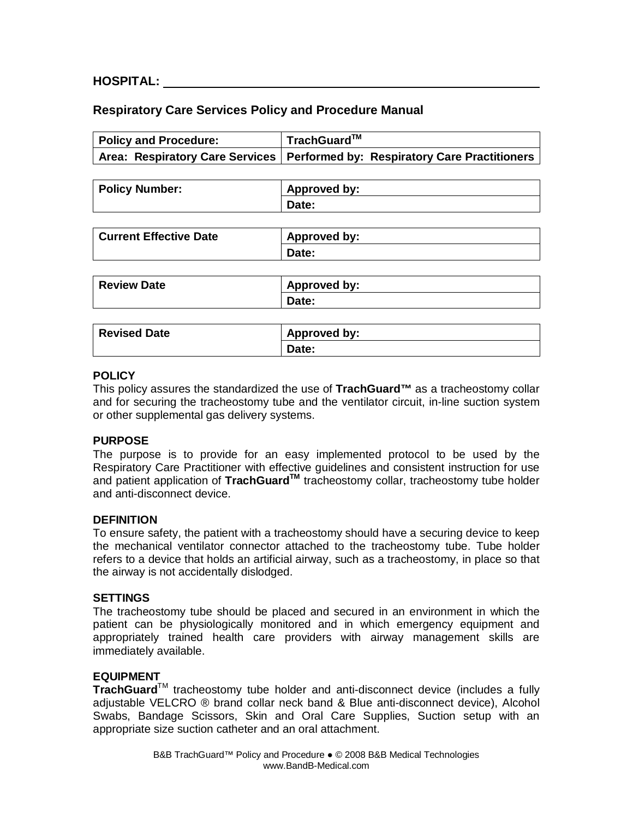## **HOSPITAL:**

## **Respiratory Care Services Policy and Procedure Manual**

| Policy and Procedure: | $\mid$ TrachGuard <sup>™</sup>                                                 |
|-----------------------|--------------------------------------------------------------------------------|
|                       | Area: Respiratory Care Services   Performed by: Respiratory Care Practitioners |

| <b>Policy Number:</b> | Approved by: |
|-----------------------|--------------|
|                       | Date:        |

| Current Effective Date | Approved by: |
|------------------------|--------------|
|                        | Date:        |

| <b>Review Date</b> | Approved by: |
|--------------------|--------------|
|                    | Date:        |

| <b>Revised Date</b> | Approved by: |
|---------------------|--------------|
|                     | Date:        |

## **POLICY**

This policy assures the standardized the use of **TrachGuard™** as a tracheostomy collar and for securing the tracheostomy tube and the ventilator circuit, in-line suction system or other supplemental gas delivery systems.

### **PURPOSE**

The purpose is to provide for an easy implemented protocol to be used by the Respiratory Care Practitioner with effective guidelines and consistent instruction for use and patient application of **TrachGuardTM** tracheostomy collar, tracheostomy tube holder and anti-disconnect device.

### **DEFINITION**

To ensure safety, the patient with a tracheostomy should have a securing device to keep the mechanical ventilator connector attached to the tracheostomy tube. Tube holder refers to a device that holds an artificial airway, such as a tracheostomy, in place so that the airway is not accidentally dislodged.

### **SETTINGS**

The tracheostomy tube should be placed and secured in an environment in which the patient can be physiologically monitored and in which emergency equipment and appropriately trained health care providers with airway management skills are immediately available.

### **EQUIPMENT**

**TrachGuard**TM tracheostomy tube holder and anti-disconnect device (includes a fully adjustable VELCRO ® brand collar neck band & Blue anti-disconnect device), Alcohol Swabs, Bandage Scissors, Skin and Oral Care Supplies, Suction setup with an appropriate size suction catheter and an oral attachment.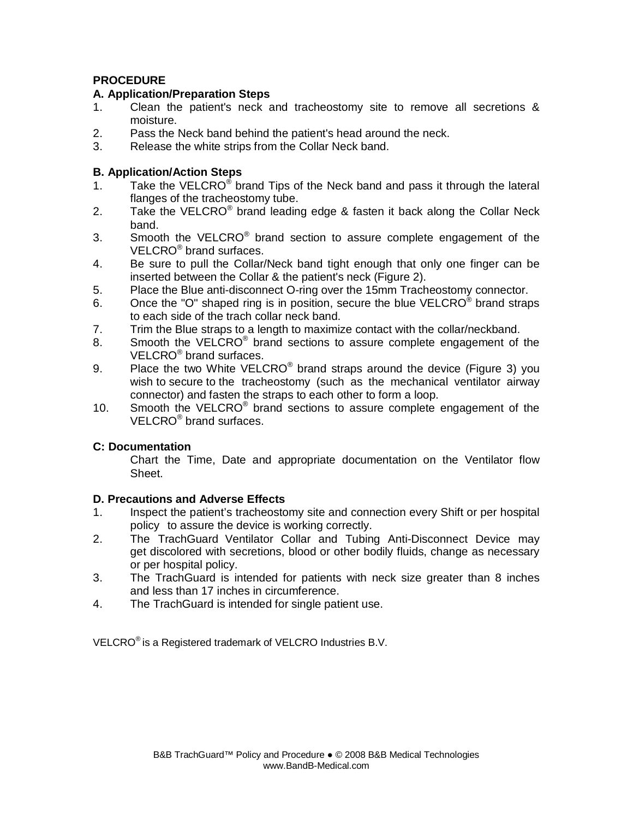# **PROCEDURE**

## **A. Application/Preparation Steps**

- 1. Clean the patient's neck and tracheostomy site to remove all secretions & moisture.
- 2. Pass the Neck band behind the patient's head around the neck.
- 3. Release the white strips from the Collar Neck band.

## **B. Application/Action Steps**

- 1. Take the VELCRO<sup>®</sup> brand Tips of the Neck band and pass it through the lateral flanges of the tracheostomy tube.
- 2. Take the VELCRO<sup>®</sup> brand leading edge & fasten it back along the Collar Neck band.
- 3. Smooth the VELCRO<sup>®</sup> brand section to assure complete engagement of the VELCRO<sup>®</sup> brand surfaces.
- 4. Be sure to pull the Collar/Neck band tight enough that only one finger can be inserted between the Collar & the patient's neck (Figure 2).
- 5. Place the Blue anti-disconnect O-ring over the 15mm Tracheostomy connector.
- 6. Once the "O" shaped ring is in position, secure the blue VELCRO $^{\circ}$  brand straps to each side of the trach collar neck band.
- 7. Trim the Blue straps to a length to maximize contact with the collar/neckband.
- 8. Smooth the VELCRO<sup>®</sup> brand sections to assure complete engagement of the VELCRO<sup>®</sup> brand surfaces.
- 9. Place the two White VELCRO<sup>®</sup> brand straps around the device (Figure 3) you wish to secure to the tracheostomy (such as the mechanical ventilator airway connector) and fasten the straps to each other to form a loop.
- 10. Smooth the VELCRO<sup>®</sup> brand sections to assure complete engagement of the VELCRO® brand surfaces.

## **C: Documentation**

 Chart the Time, Date and appropriate documentation on the Ventilator flow Sheet.

### **D. Precautions and Adverse Effects**

- 1. Inspect the patient's tracheostomy site and connection every Shift or per hospital policy to assure the device is working correctly.
- 2. The TrachGuard Ventilator Collar and Tubing Anti-Disconnect Device may get discolored with secretions, blood or other bodily fluids, change as necessary or per hospital policy.
- 3. The TrachGuard is intended for patients with neck size greater than 8 inches and less than 17 inches in circumference.
- 4. The TrachGuard is intended for single patient use.

VELCRO® is a Registered trademark of VELCRO Industries B.V.